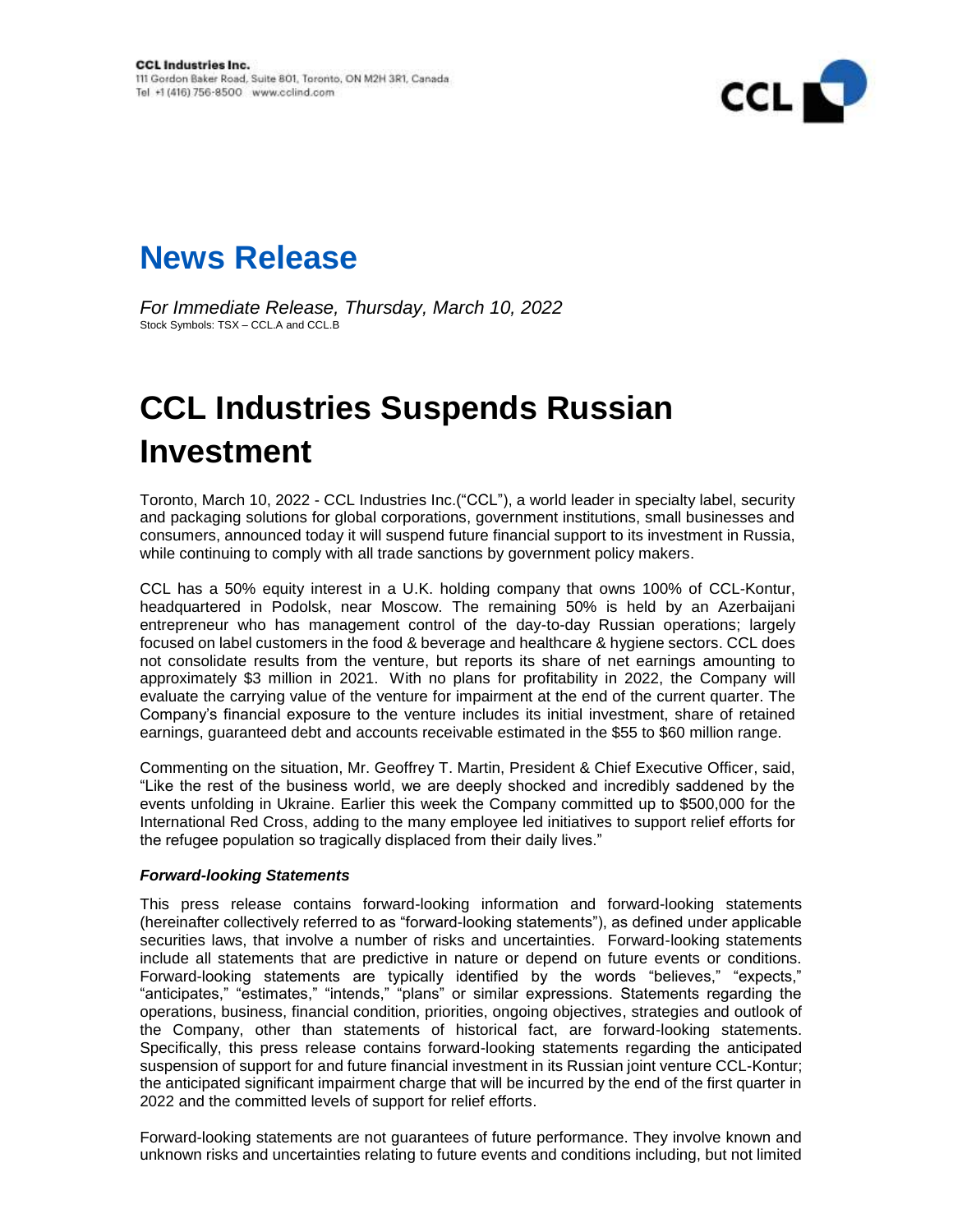

## **News Release**

*For Immediate Release, Thursday, March 10, 2022* Stock Symbols: TSX – CCL.A and CCL.B

## **CCL Industries Suspends Russian Investment**

Toronto, March 10, 2022 - CCL Industries Inc.("CCL"), a world leader in specialty label, security and packaging solutions for global corporations, government institutions, small businesses and consumers, announced today it will suspend future financial support to its investment in Russia, while continuing to comply with all trade sanctions by government policy makers.

CCL has a 50% equity interest in a U.K. holding company that owns 100% of CCL-Kontur, headquartered in Podolsk, near Moscow. The remaining 50% is held by an Azerbaijani entrepreneur who has management control of the day-to-day Russian operations; largely focused on label customers in the food & beverage and healthcare & hygiene sectors. CCL does not consolidate results from the venture, but reports its share of net earnings amounting to approximately \$3 million in 2021. With no plans for profitability in 2022, the Company will evaluate the carrying value of the venture for impairment at the end of the current quarter. The Company's financial exposure to the venture includes its initial investment, share of retained earnings, guaranteed debt and accounts receivable estimated in the \$55 to \$60 million range.

Commenting on the situation, Mr. Geoffrey T. Martin, President & Chief Executive Officer, said, "Like the rest of the business world, we are deeply shocked and incredibly saddened by the events unfolding in Ukraine. Earlier this week the Company committed up to \$500,000 for the International Red Cross, adding to the many employee led initiatives to support relief efforts for the refugee population so tragically displaced from their daily lives."

## *Forward-looking Statements*

This press release contains forward-looking information and forward-looking statements (hereinafter collectively referred to as "forward-looking statements"), as defined under applicable securities laws, that involve a number of risks and uncertainties. Forward-looking statements include all statements that are predictive in nature or depend on future events or conditions. Forward-looking statements are typically identified by the words "believes," "expects," "anticipates," "estimates," "intends," "plans" or similar expressions. Statements regarding the operations, business, financial condition, priorities, ongoing objectives, strategies and outlook of the Company, other than statements of historical fact, are forward-looking statements. Specifically, this press release contains forward-looking statements regarding the anticipated suspension of support for and future financial investment in its Russian joint venture CCL-Kontur; the anticipated significant impairment charge that will be incurred by the end of the first quarter in 2022 and the committed levels of support for relief efforts.

Forward-looking statements are not guarantees of future performance. They involve known and unknown risks and uncertainties relating to future events and conditions including, but not limited